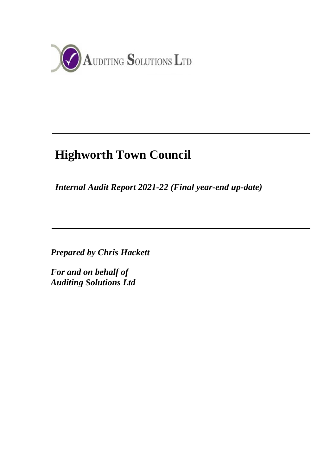

# **Highworth Town Council**

*Internal Audit Report 2021-22 (Final year-end up-date)*

*Prepared by Chris Hackett*

*For and on behalf of Auditing Solutions Ltd*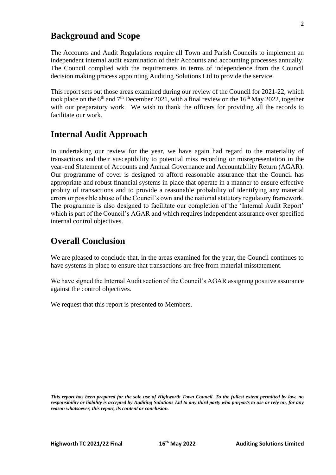### **Background and Scope**

The Accounts and Audit Regulations require all Town and Parish Councils to implement an independent internal audit examination of their Accounts and accounting processes annually. The Council complied with the requirements in terms of independence from the Council decision making process appointing Auditing Solutions Ltd to provide the service.

This report sets out those areas examined during our review of the Council for 2021-22, which took place on the 6<sup>th</sup> and 7<sup>th</sup> December 2021, with a final review on the 16<sup>th</sup> May 2022, together with our preparatory work. We wish to thank the officers for providing all the records to facilitate our work.

### **Internal Audit Approach**

In undertaking our review for the year, we have again had regard to the materiality of transactions and their susceptibility to potential miss recording or misrepresentation in the year-end Statement of Accounts and Annual Governance and Accountability Return (AGAR). Our programme of cover is designed to afford reasonable assurance that the Council has appropriate and robust financial systems in place that operate in a manner to ensure effective probity of transactions and to provide a reasonable probability of identifying any material errors or possible abuse of the Council's own and the national statutory regulatory framework. The programme is also designed to facilitate our completion of the 'Internal Audit Report' which is part of the Council's AGAR and which requires independent assurance over specified internal control objectives.

### **Overall Conclusion**

We are pleased to conclude that, in the areas examined for the year, the Council continues to have systems in place to ensure that transactions are free from material misstatement.

We have signed the Internal Audit section of the Council's AGAR assigning positive assurance against the control objectives.

We request that this report is presented to Members.

*This report has been prepared for the sole use of Highworth Town Council. To the fullest extent permitted by law, no responsibility or liability is accepted by Auditing Solutions Ltd to any third party who purports to use or rely on, for any reason whatsoever, this report, its content or conclusion.*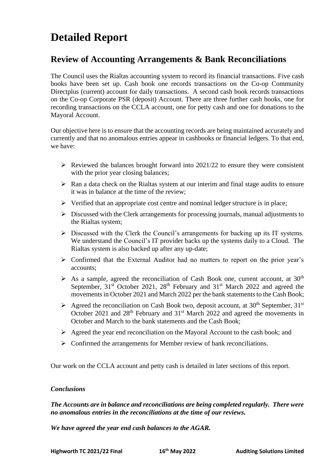# **Detailed Report**

## **Review of Accounting Arrangements & Bank Reconciliations**

The Council uses the Rialtas accounting system to record its financial transactions. Five cash books have been set up. Cash book one records transactions on the Co-op Community Directplus (current) account for daily transactions. A second cash book records transactions on the Co-op Corporate PSR (deposit) Account. There are three further cash books, one for recording transactions on the CCLA account, one for petty cash and one for donations to the Mayoral Account.

Our objective here is to ensure that the accounting records are being maintained accurately and currently and that no anomalous entries appear in cashbooks or financial ledgers. To that end, we have:

- $\triangleright$  Reviewed the balances brought forward into 2021/22 to ensure they were consistent with the prior year closing balances;
- $\triangleright$  Ran a data check on the Rialtas system at our interim and final stage audits to ensure it was in balance at the time of the review;
- $\triangleright$  Verified that an appropriate cost centre and nominal ledger structure is in place;
- ➢ Discussed with the Clerk arrangements for processing journals, manual adjustments to the Rialtas system;
- $\triangleright$  Discussed with the Clerk the Council's arrangements for backing up its IT systems. We understand the Council's IT provider backs up the systems daily to a Cloud. The Rialtas system is also backed up after any up-date;
- ➢ Confirmed that the External Auditor had no matters to report on the prior year's accounts;
- $\triangleright$  As a sample, agreed the reconciliation of Cash Book one, current account, at 30<sup>th</sup> September,  $31<sup>st</sup>$  October 2021,  $28<sup>th</sup>$  February and  $31<sup>st</sup>$  March 2022 and agreed the movements in October 2021 and March 2022 per the bank statements to the Cash Book;
- $\triangleright$  Agreed the reconciliation on Cash Book two, deposit account, at 30<sup>th</sup> September, 31<sup>st</sup> October 2021 and  $28<sup>th</sup>$  February and  $31<sup>st</sup>$  March 2022 and agreed the movements in October and March to the bank statements and the Cash Book;
- $\triangleright$  Agreed the year end reconciliation on the Mayoral Account to the cash book; and
- $\triangleright$  Confirmed the arrangements for Member review of bank reconciliations.

Our work on the CCLA account and petty cash is detailed in later sections of this report.

#### *Conclusions*

*The Accounts are in balance and reconciliations are being completed regularly. There were no anomalous entries in the reconciliations at the time of our reviews.*

*We have agreed the year end cash balances to the AGAR.*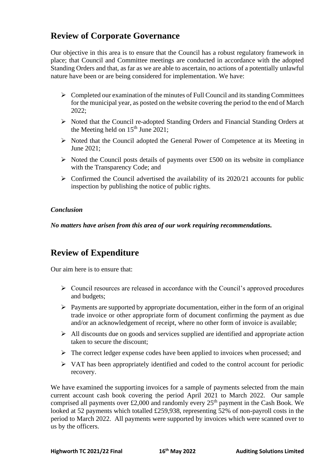## **Review of Corporate Governance**

Our objective in this area is to ensure that the Council has a robust regulatory framework in place; that Council and Committee meetings are conducted in accordance with the adopted Standing Orders and that, as far as we are able to ascertain, no actions of a potentially unlawful nature have been or are being considered for implementation. We have:

- $\triangleright$  Completed our examination of the minutes of Full Council and its standing Committees for the municipal year, as posted on the website covering the period to the end of March 2022;
- ➢ Noted that the Council re-adopted Standing Orders and Financial Standing Orders at the Meeting held on  $15<sup>th</sup>$  June 2021;
- ➢ Noted that the Council adopted the General Power of Competence at its Meeting in June 2021;
- $\triangleright$  Noted the Council posts details of payments over £500 on its website in compliance with the Transparency Code; and
- $\triangleright$  Confirmed the Council advertised the availability of its 2020/21 accounts for public inspection by publishing the notice of public rights.

### *Conclusion*

*No matters have arisen from this area of our work requiring recommendations.* 

### **Review of Expenditure**

Our aim here is to ensure that:

- ➢ Council resources are released in accordance with the Council's approved procedures and budgets;
- $\triangleright$  Payments are supported by appropriate documentation, either in the form of an original trade invoice or other appropriate form of document confirming the payment as due and/or an acknowledgement of receipt, where no other form of invoice is available;
- ➢ All discounts due on goods and services supplied are identified and appropriate action taken to secure the discount;
- $\triangleright$  The correct ledger expense codes have been applied to invoices when processed; and
- ➢ VAT has been appropriately identified and coded to the control account for periodic recovery.

We have examined the supporting invoices for a sample of payments selected from the main current account cash book covering the period April 2021 to March 2022. Our sample comprised all payments over £2,000 and randomly every  $25<sup>th</sup>$  payment in the Cash Book. We looked at 52 payments which totalled £259,938, representing 52% of non-payroll costs in the period to March 2022. All payments were supported by invoices which were scanned over to us by the officers.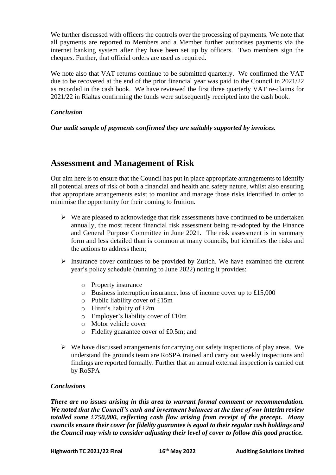We further discussed with officers the controls over the processing of payments. We note that all payments are reported to Members and a Member further authorises payments via the internet banking system after they have been set up by officers. Two members sign the cheques. Further, that official orders are used as required.

We note also that VAT returns continue to be submitted quarterly. We confirmed the VAT due to be recovered at the end of the prior financial year was paid to the Council in 2021/22 as recorded in the cash book. We have reviewed the first three quarterly VAT re-claims for 2021/22 in Rialtas confirming the funds were subsequently receipted into the cash book.

#### *Conclusion*

#### *Our audit sample of payments confirmed they are suitably supported by invoices.*

### **Assessment and Management of Risk**

Our aim here is to ensure that the Council has put in place appropriate arrangements to identify all potential areas of risk of both a financial and health and safety nature, whilst also ensuring that appropriate arrangements exist to monitor and manage those risks identified in order to minimise the opportunity for their coming to fruition.

- $\triangleright$  We are pleased to acknowledge that risk assessments have continued to be undertaken annually, the most recent financial risk assessment being re-adopted by the Finance and General Purpose Committee in June 2021. The risk assessment is in summary form and less detailed than is common at many councils, but identifies the risks and the actions to address them;
- $\triangleright$  Insurance cover continues to be provided by Zurich. We have examined the current year's policy schedule (running to June 2022) noting it provides:
	- o Property insurance
	- o Business interruption insurance. loss of income cover up to £15,000
	- o Public liability cover of £15m
	- o Hirer's liability of £2m
	- o Employer's liability cover of £10m
	- o Motor vehicle cover
	- o Fidelity guarantee cover of £0.5m; and
- $\triangleright$  We have discussed arrangements for carrying out safety inspections of play areas. We understand the grounds team are RoSPA trained and carry out weekly inspections and findings are reported formally. Further that an annual external inspection is carried out by RoSPA

#### *Conclusions*

*There are no issues arising in this area to warrant formal comment or recommendation. We noted that the Council's cash and investment balances at the time of our interim review totalled some £750,000, reflecting cash flow arising from receipt of the precept. Many councils ensure their cover for fidelity guarantee is equal to their regular cash holdings and the Council may wish to consider adjusting their level of cover to follow this good practice.*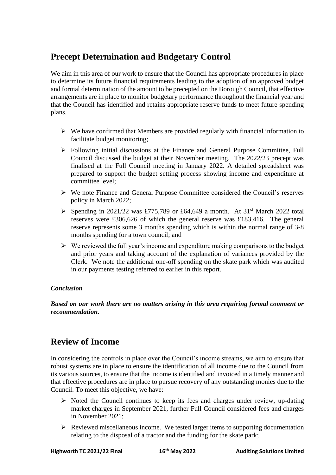# **Precept Determination and Budgetary Control**

We aim in this area of our work to ensure that the Council has appropriate procedures in place to determine its future financial requirements leading to the adoption of an approved budget and formal determination of the amount to be precepted on the Borough Council, that effective arrangements are in place to monitor budgetary performance throughout the financial year and that the Council has identified and retains appropriate reserve funds to meet future spending plans.

- $\triangleright$  We have confirmed that Members are provided regularly with financial information to facilitate budget monitoring;
- ➢ Following initial discussions at the Finance and General Purpose Committee, Full Council discussed the budget at their November meeting. The 2022/23 precept was finalised at the Full Council meeting in January 2022. A detailed spreadsheet was prepared to support the budget setting process showing income and expenditure at committee level;
- ➢ We note Finance and General Purpose Committee considered the Council's reserves policy in March 2022;
- $\triangleright$  Spending in 2021/22 was £775,789 or £64,649 a month. At 31<sup>st</sup> March 2022 total reserves were £306,626 of which the general reserve was £183,416. The general reserve represents some 3 months spending which is within the normal range of 3-8 months spending for a town council; and
- $\triangleright$  We reviewed the full year's income and expenditure making comparisons to the budget and prior years and taking account of the explanation of variances provided by the Clerk. We note the additional one-off spending on the skate park which was audited in our payments testing referred to earlier in this report.

### *Conclusion*

*Based on our work there are no matters arising in this area requiring formal comment or recommendation.*

# **Review of Income**

In considering the controls in place over the Council's income streams, we aim to ensure that robust systems are in place to ensure the identification of all income due to the Council from its various sources, to ensure that the income is identified and invoiced in a timely manner and that effective procedures are in place to pursue recovery of any outstanding monies due to the Council. To meet this objective, we have:

- $\triangleright$  Noted the Council continues to keep its fees and charges under review, up-dating market charges in September 2021, further Full Council considered fees and charges in November 2021;
- $\triangleright$  Reviewed miscellaneous income. We tested larger items to supporting documentation relating to the disposal of a tractor and the funding for the skate park;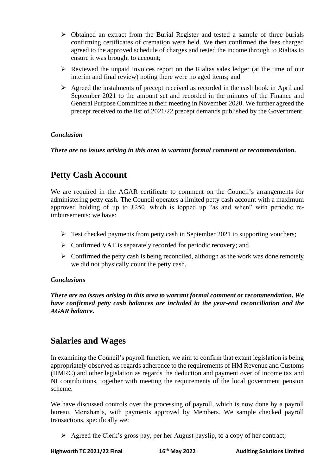- ➢ Obtained an extract from the Burial Register and tested a sample of three burials confirming certificates of cremation were held. We then confirmed the fees charged agreed to the approved schedule of charges and tested the income through to Rialtas to ensure it was brought to account;
- $\triangleright$  Reviewed the unpaid invoices report on the Rialtas sales ledger (at the time of our interim and final review) noting there were no aged items; and
- ➢ Agreed the instalments of precept received as recorded in the cash book in April and September 2021 to the amount set and recorded in the minutes of the Finance and General Purpose Committee at their meeting in November 2020. We further agreed the precept received to the list of 2021/22 precept demands published by the Government.

### *Conclusion*

*There are no issues arising in this area to warrant formal comment or recommendation.* 

# **Petty Cash Account**

We are required in the AGAR certificate to comment on the Council's arrangements for administering petty cash. The Council operates a limited petty cash account with a maximum approved holding of up to £250, which is topped up "as and when" with periodic reimbursements: we have:

- $\triangleright$  Test checked payments from petty cash in September 2021 to supporting vouchers;
- ➢ Confirmed VAT is separately recorded for periodic recovery; and
- $\triangleright$  Confirmed the petty cash is being reconciled, although as the work was done remotely we did not physically count the petty cash.

### *Conclusions*

*There are no issues arising in this area to warrant formal comment or recommendation. We have confirmed petty cash balances are included in the year-end reconciliation and the AGAR balance.*

### **Salaries and Wages**

In examining the Council's payroll function, we aim to confirm that extant legislation is being appropriately observed as regards adherence to the requirements of HM Revenue and Customs (HMRC) and other legislation as regards the deduction and payment over of income tax and NI contributions, together with meeting the requirements of the local government pension scheme.

We have discussed controls over the processing of payroll, which is now done by a payroll bureau, Monahan's, with payments approved by Members. We sample checked payroll transactions, specifically we:

 $\triangleright$  Agreed the Clerk's gross pay, per her August payslip, to a copy of her contract;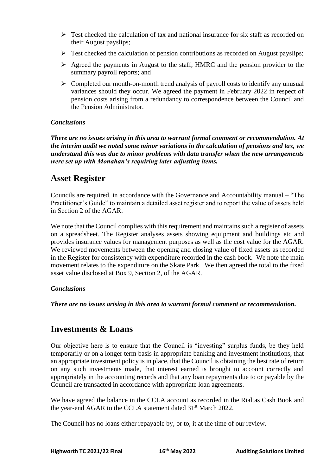- $\triangleright$  Test checked the calculation of tax and national insurance for six staff as recorded on their August payslips;
- $\triangleright$  Test checked the calculation of pension contributions as recorded on August payslips;
- ➢ Agreed the payments in August to the staff, HMRC and the pension provider to the summary payroll reports; and
- $\triangleright$  Completed our month-on-month trend analysis of payroll costs to identify any unusual variances should they occur. We agreed the payment in February 2022 in respect of pension costs arising from a redundancy to correspondence between the Council and the Pension Administrator.

### *Conclusions*

*There are no issues arising in this area to warrant formal comment or recommendation. At the interim audit we noted some minor variations in the calculation of pensions and tax, we understand this was due to minor problems with data transfer when the new arrangements were set up with Monahan's requiring later adjusting items.* 

### **Asset Register**

Councils are required, in accordance with the Governance and Accountability manual – "The Practitioner's Guide" to maintain a detailed asset register and to report the value of assets held in Section 2 of the AGAR.

We note that the Council complies with this requirement and maintains such a register of assets on a spreadsheet. The Register analyses assets showing equipment and buildings etc and provides insurance values for management purposes as well as the cost value for the AGAR. We reviewed movements between the opening and closing value of fixed assets as recorded in the Register for consistency with expenditure recorded in the cash book. We note the main movement relates to the expenditure on the Skate Park. We then agreed the total to the fixed asset value disclosed at Box 9, Section 2, of the AGAR.

### *Conclusions*

*There are no issues arising in this area to warrant formal comment or recommendation.*

### **Investments & Loans**

Our objective here is to ensure that the Council is "investing" surplus funds, be they held temporarily or on a longer term basis in appropriate banking and investment institutions, that an appropriate investment policy is in place, that the Council is obtaining the best rate of return on any such investments made, that interest earned is brought to account correctly and appropriately in the accounting records and that any loan repayments due to or payable by the Council are transacted in accordance with appropriate loan agreements.

We have agreed the balance in the CCLA account as recorded in the Rialtas Cash Book and the year-end AGAR to the CCLA statement dated 31<sup>st</sup> March 2022.

The Council has no loans either repayable by, or to, it at the time of our review.